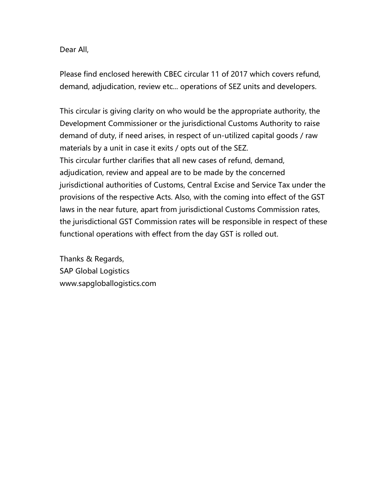## Dear All,

Please find enclosed herewith CBEC circular 11 of 2017 which covers refund, demand, adjudication, review etc... operations of SEZ units and developers.

This circular is giving clarity on who would be the appropriate authority, the Development Commissioner or the jurisdictional Customs Authority to raise demand of duty, if need arises, in respect of un-utilized capital goods / raw materials by a unit in case it exits / opts out of the SEZ. This circular further clarifies that all new cases of refund, demand, adjudication, review and appeal are to be made by the concerned jurisdictional authorities of Customs, Central Excise and Service Tax under the provisions of the respective Acts. Also, with the coming into effect of the GST laws in the near future, apart from jurisdictional Customs Commission rates, the jurisdictional GST Commission rates will be responsible in respect of these functional operations with effect from the day GST is rolled out.

Thanks & Regards, SAP Global Logistics www.sapgloballogistics.com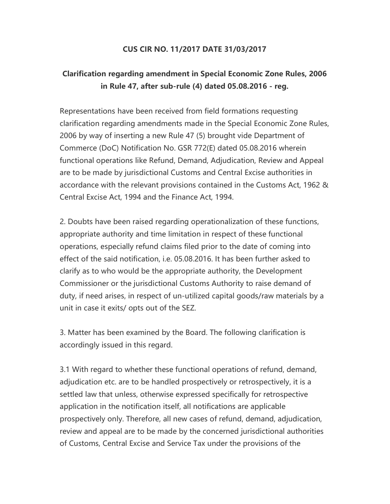## CUS CIR NO. 11/2017 DATE 31/03/2017

## Clarification regarding amendment in Special Economic Zone Rules, 2006 in Rule 47, after sub-rule (4) dated 05.08.2016 - reg.

Representations have been received from field formations requesting clarification regarding amendments made in the Special Economic Zone Rules, 2006 by way of inserting a new Rule 47 (5) brought vide Department of Commerce (DoC) Notification No. GSR 772(E) dated 05.08.2016 wherein functional operations like Refund, Demand, Adjudication, Review and Appeal are to be made by jurisdictional Customs and Central Excise authorities in accordance with the relevant provisions contained in the Customs Act, 1962 & Central Excise Act, 1994 and the Finance Act, 1994.

2. Doubts have been raised regarding operationalization of these functions, appropriate authority and time limitation in respect of these functional operations, especially refund claims filed prior to the date of coming into effect of the said notification, i.e. 05.08.2016. It has been further asked to clarify as to who would be the appropriate authority, the Development Commissioner or the jurisdictional Customs Authority to raise demand of duty, if need arises, in respect of un-utilized capital goods/raw materials by a unit in case it exits/ opts out of the SEZ.

3. Matter has been examined by the Board. The following clarification is accordingly issued in this regard.

3.1 With regard to whether these functional operations of refund, demand, adjudication etc. are to be handled prospectively or retrospectively, it is a settled law that unless, otherwise expressed specifically for retrospective application in the notification itself, all notifications are applicable prospectively only. Therefore, all new cases of refund, demand, adjudication, review and appeal are to be made by the concerned jurisdictional authorities of Customs, Central Excise and Service Tax under the provisions of the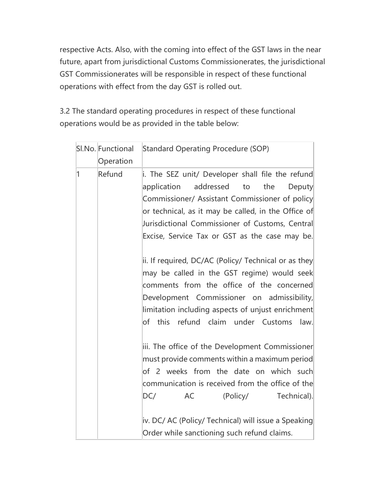respective Acts. Also, with the coming into effect of the GST laws in the near future, apart from jurisdictional Customs Commissionerates, the jurisdictional GST Commissionerates will be responsible in respect of these functional operations with effect from the day GST is rolled out.

3.2 The standard operating procedures in respect of these functional operations would be as provided in the table below:

|              | SI.No. Functional | <b>Standard Operating Procedure (SOP)</b>                                                                                                                                                                                                                                                                                                                                                                                                                                                                                                                                    |
|--------------|-------------------|------------------------------------------------------------------------------------------------------------------------------------------------------------------------------------------------------------------------------------------------------------------------------------------------------------------------------------------------------------------------------------------------------------------------------------------------------------------------------------------------------------------------------------------------------------------------------|
|              | Operation         |                                                                                                                                                                                                                                                                                                                                                                                                                                                                                                                                                                              |
| $\mathbf{1}$ | Refund            | i. The SEZ unit/ Developer shall file the refund<br>application<br>addressed to<br>the<br><b>Deputy</b><br>Commissioner/ Assistant Commissioner of policy<br>or technical, as it may be called, in the Office of<br>Jurisdictional Commissioner of Customs, Central<br>Excise, Service Tax or GST as the case may be.<br>ii. If required, DC/AC (Policy/ Technical or as they<br>may be called in the GST regime) would seek<br>comments from the office of the concerned<br>Development Commissioner on admissibility,<br>limitation including aspects of unjust enrichment |
|              |                   | of this refund claim under Customs<br>law.<br>iii. The office of the Development Commissioner<br>must provide comments within a maximum period<br>of 2 weeks from the date on which such<br>communication is received from the office of the<br>AC<br>(Policy/ Technical).<br>DC/<br>iv. DC/ AC (Policy/ Technical) will issue a Speaking<br>Order while sanctioning such refund claims.                                                                                                                                                                                     |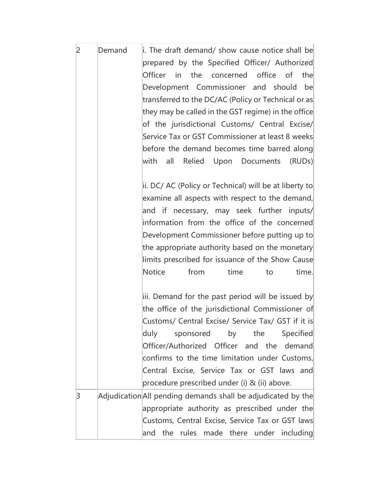| $\overline{2}$ | Demand | i. The draft demand/ show cause notice shall be<br>prepared by the Specified Officer/ Authorized<br>Officer<br>$\mathsf{in}$<br>the concerned<br>office of<br>the<br>Development Commissioner and should<br>be<br>transferred to the DC/AC (Policy or Technical or as                                                                                                                                    |
|----------------|--------|----------------------------------------------------------------------------------------------------------------------------------------------------------------------------------------------------------------------------------------------------------------------------------------------------------------------------------------------------------------------------------------------------------|
|                |        | they may be called in the GST regime) in the office<br>of the jurisdictional Customs/ Central Excise/<br>Service Tax or GST Commissioner at least 8 weeks<br>before the demand becomes time barred along<br>with<br>all<br>Relied Upon Documents (RUDs)                                                                                                                                                  |
|                |        | ii. DC/ AC (Policy or Technical) will be at liberty to<br>examine all aspects with respect to the demand,<br>and if necessary, may seek further inputs/<br>information from the office of the concerned<br>Development Commissioner before putting up to<br>the appropriate authority based on the monetary<br>limits prescribed for issuance of the Show Cause<br>Notice<br>from<br>time.<br>time<br>to |
|                |        | iii. Demand for the past period will be issued by<br>the office of the jurisdictional Commissioner of<br>Customs/ Central Excise/ Service Tax/ GST if it is<br>duly<br>by the<br>Specified<br>sponsored<br>Officer/Authorized Officer and the demand<br>confirms to the time limitation under Customs,<br>Central Excise, Service Tax or GST laws and<br>procedure prescribed under (i) & (ii) above.    |
| 3              |        | Adjudication All pending demands shall be adjudicated by the<br>appropriate authority as prescribed under the<br>Customs, Central Excise, Service Tax or GST laws<br>and the rules made there under including                                                                                                                                                                                            |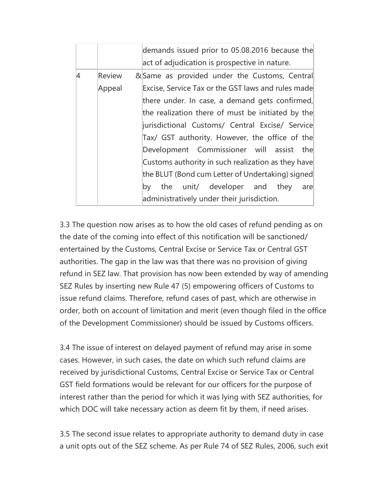|   |               | demands issued prior to 05.08.2016 because the     |
|---|---------------|----------------------------------------------------|
|   |               | act of adjudication is prospective in nature.      |
| 4 | <b>Review</b> | &Same as provided under the Customs, Central       |
|   | Appeal        | Excise, Service Tax or the GST laws and rules made |
|   |               | there under. In case, a demand gets confirmed,     |
|   |               | the realization there of must be initiated by the  |
|   |               | jurisdictional Customs/ Central Excise/ Service    |
|   |               | Tax/ GST authority. However, the office of the     |
|   |               | Development Commissioner will assist the           |
|   |               | Customs authority in such realization as they have |
|   |               | the BLUT (Bond cum Letter of Undertaking) signed   |
|   |               | the unit/ developer and they<br>by<br>are          |
|   |               | administratively under their jurisdiction.         |

3.3 The question now arises as to how the old cases of refund pending as on the date of the coming into effect of this notification will be sanctioned/ entertained by the Customs, Central Excise or Service Tax or Central GST authorities. The gap in the law was that there was no provision of giving refund in SEZ law. That provision has now been extended by way of amending SEZ Rules by inserting new Rule 47 (5) empowering officers of Customs to issue refund claims. Therefore, refund cases of past, which are otherwise in order, both on account of limitation and merit (even though filed in the office of the Development Commissioner) should be issued by Customs officers.

3.4 The issue of interest on delayed payment of refund may arise in some cases. However, in such cases, the date on which such refund claims are received by jurisdictional Customs, Central Excise or Service Tax or Central GST field formations would be relevant for our officers for the purpose of interest rather than the period for which it was lying with SEZ authorities, for which DOC will take necessary action as deem fit by them, if need arises.

3.5 The second issue relates to appropriate authority to demand duty in case a unit opts out of the SEZ scheme. As per Rule 74 of SEZ Rules, 2006, such exit